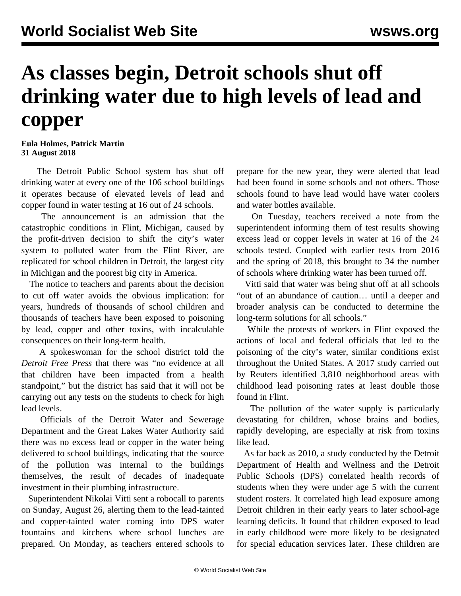## **As classes begin, Detroit schools shut off drinking water due to high levels of lead and copper**

**Eula Holmes, Patrick Martin 31 August 2018**

 The Detroit Public School system has shut off drinking water at every one of the 106 school buildings it operates because of elevated levels of lead and copper found in water testing at 16 out of 24 schools.

 The announcement is an admission that the catastrophic conditions in Flint, Michigan, caused by the profit-driven decision to shift the city's water system to polluted water from the Flint River, are replicated for school children in Detroit, the largest city in Michigan and the poorest big city in America.

 The notice to teachers and parents about the decision to cut off water avoids the obvious implication: for years, hundreds of thousands of school children and thousands of teachers have been exposed to poisoning by lead, copper and other toxins, with incalculable consequences on their long-term health.

 A spokeswoman for the school district told the *Detroit Free Press* that there was "no evidence at all that children have been impacted from a health standpoint," but the district has said that it will not be carrying out any tests on the students to check for high lead levels.

 Officials of the Detroit Water and Sewerage Department and the Great Lakes Water Authority said there was no excess lead or copper in the water being delivered to school buildings, indicating that the source of the pollution was internal to the buildings themselves, the result of decades of inadequate investment in their plumbing infrastructure.

 Superintendent Nikolai Vitti sent a robocall to parents on Sunday, August 26, alerting them to the lead-tainted and copper-tainted water coming into DPS water fountains and kitchens where school lunches are prepared. On Monday, as teachers entered schools to prepare for the new year, they were alerted that lead had been found in some schools and not others. Those schools found to have lead would have water coolers and water bottles available.

 On Tuesday, teachers received a note from the superintendent informing them of test results showing excess lead or copper levels in water at 16 of the 24 schools tested. Coupled with earlier tests from 2016 and the spring of 2018, this brought to 34 the number of schools where drinking water has been turned off.

 Vitti said that water was being shut off at all schools "out of an abundance of caution… until a deeper and broader analysis can be conducted to determine the long-term solutions for all schools."

 While the protests of workers in Flint exposed the actions of local and federal officials that led to the poisoning of the city's water, similar conditions exist throughout the United States. A 2017 study carried out by Reuters identified 3,810 neighborhood areas with childhood lead poisoning rates at least double those found in Flint.

 The pollution of the water supply is particularly devastating for children, whose brains and bodies, rapidly developing, are especially at risk from toxins like lead.

 As far back as 2010, a study conducted by the Detroit Department of Health and Wellness and the Detroit Public Schools (DPS) correlated health records of students when they were under age 5 with the current student rosters. It correlated high lead exposure among Detroit children in their early years to later school-age learning deficits. It found that children exposed to lead in early childhood were more likely to be designated for special education services later. These children are